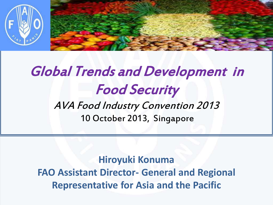

## Global Trends and Development in Food Security AVA Food Industry Convention 2013

10 October 2013, Singapore

L

*Representative for Asia and the Pacific* **Hiroyuki Konuma FAO Assistant Director- General and Regional**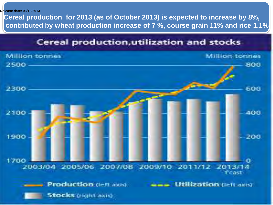#### **Release date: 03/10/2013**

 **Cereal production for 2013 (as of October 2013) is expected to increase by 8%, contributed by wheat production increase of 7 %, course grain 11% and rice 1.1%** 

#### Cereal production, utilization and stocks

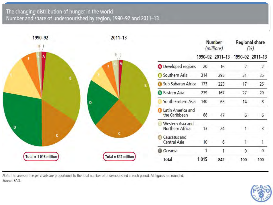#### The changing distribution of hunger in the world Number and share of undernourished by region, 1990-92 and 2011-13

| 1990-92                | $2011 - 13$           |                                             | Number<br>(millions) |                 | Regional share<br>(% ) |                 |
|------------------------|-----------------------|---------------------------------------------|----------------------|-----------------|------------------------|-----------------|
| Ŧ.                     |                       |                                             |                      | 1990-92 2011-13 |                        | 1990-92 2011-13 |
|                        |                       | <b>O</b> Developed regions                  | 20                   | 16              | $\overline{2}$         | $\overline{2}$  |
| $\pmb{B}$              |                       | <b>B</b> Southern Asia                      | 314                  | 295             | 31                     | 35              |
|                        |                       | G Sub-Saharan Africa                        | 173                  | 223             | 17                     | 26              |
|                        |                       | <b>D</b> Eastern Asia                       | 279                  | 167             | 27                     | 20              |
|                        | D                     | South-Eastern Asia                          | 140                  | 65              | 14                     | 8               |
|                        |                       | <b>B</b> Latin America and<br>the Caribbean | 66                   | 47              | $6\overline{6}$        | 6               |
| D                      |                       | Western Asia and<br>Northern Africa         | 13                   | 24              | 1                      | 3               |
| ċ                      |                       | Caucasus and<br>Central Asia                | 10                   | 6               |                        |                 |
|                        |                       | <b>O</b> Oceania                            | 1                    |                 | 0                      | $\mathbf{0}$    |
| Total = $1015$ million | Total = $842$ million | Total                                       | 1015                 | 842             | 100                    | 100             |

Note: The areas of the pie charts are proportional to the total number of undernourished in each period. All figures are rounded. Source: FAO.

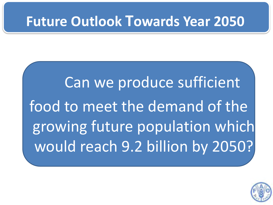#### **Future Outlook Towards Year 2050**

Can we produce sufficient food to meet the demand of the growing future population which would reach 9.2 billion by 2050?

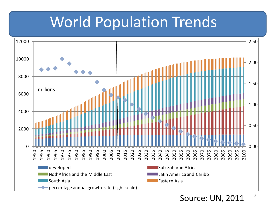## World Population Trends



5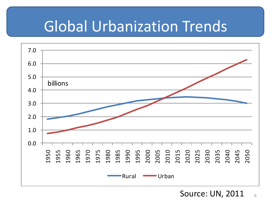## Global Urbanization Trends



6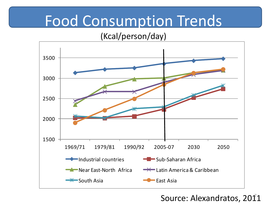## Food Consumption Trends

#### (Kcal/person/day)



#### Source: Alexandratos, 2011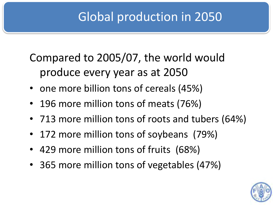#### Global production in 2050

#### Compared to 2005/07, the world would produce every year as at 2050

- one more billion tons of cereals (45%)
- 196 more million tons of meats (76%)
- 713 more million tons of roots and tubers (64%)
- 172 more million tons of soybeans (79%)
- 429 more million tons of fruits (68%)
- 365 more million tons of vegetables (47%)

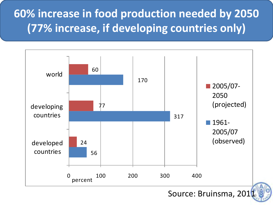#### **60% increase in food production needed by 2050 (77% increase, if developing countries only)**



Source: Bruinsma, 201

9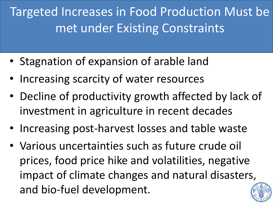## Targeted Increases in Food Production Must be met under Existing Constraints

- Stagnation of expansion of arable land
- Increasing scarcity of water resources
- Decline of productivity growth affected by lack of investment in agriculture in recent decades
- Increasing post-harvest losses and table waste
- Various uncertainties such as future crude oil prices, food price hike and volatilities, negative impact of climate changes and natural disasters, and bio-fuel development. 10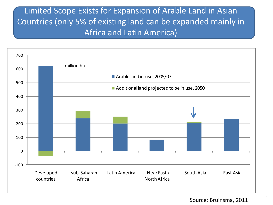#### Limited Scope Exists for Expansion of Arable Land in Asian Countries (only 5% of existing land can be expanded mainly in Africa and Latin America)



11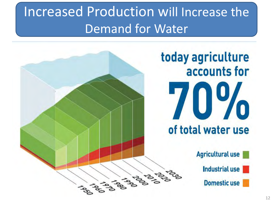## Increased Production will Increase the Demand for Water

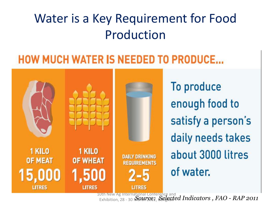#### Water is a Key Requirement for Food Production

#### **HOW MUCH WATER IS NEEDED TO PRODUCE...**



To produce enough food to satisfy a person's daily needs takes about 3000 litres of water.

10th New Ag International Conference and<br>Exhibition, 28 - 30 May 17662, Selected Indicators , FAO - RAP 2011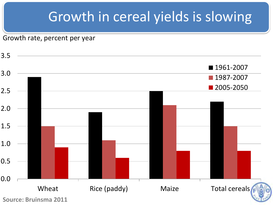#### Growth in cereal yields is slowing

Growth rate, percent per year

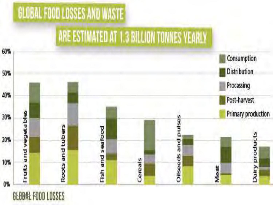

**GEOGAL-FOOD LOSSES**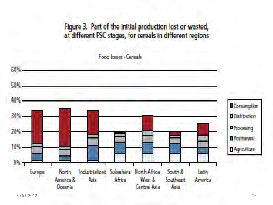Figure 3. Part of the initial production lost or wasted,<br>at different FSC stages, for cereals in different regions

Food Josep - Caragh

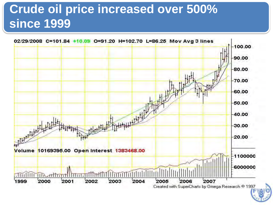#### **Crude oil price increased over 500% since 1999**

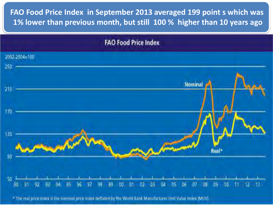**FAO Food Price Index in September 2013 averaged 199 point s which was 1% lower than previous month, but still 100 % higher than 10 years ago** 



\* The real price index is the nominal price index deflated by the World Bank Manufactures Unit Value Index (MUV)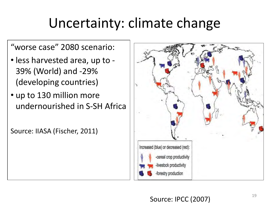## Uncertainty: climate change

"worse case" 2080 scenario:

- less harvested area, up to 39% (World) and -29% (developing countries)
- up to 130 million more undernourished in S-SH Africa

Source: IIASA (Fischer, 2011)



#### Source: IPCC (2007)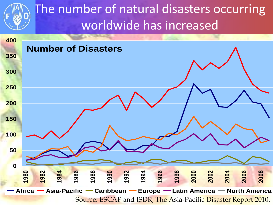#### The number of natural disasters occurring worldwide has increased

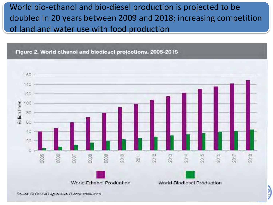#### World bio-ethanol and bio-diesel production is projected to be doubled in 20 years between 2009 and 2018; increasing competition of land and water use with food production

Figure 2. World ethanol and biodiesel projections, 2005-2018



)<br>}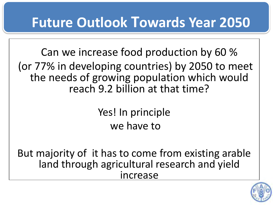## **Future Outlook Towards Year 2050**

Can we increase food production by 60 % (or 77% in developing countries) by 2050 to meet the needs of growing population which would reach 9.2 billion at that time?

> Yes! In principle we have to

But majority of it has to come from existing arable land through agricultural research and yield increase

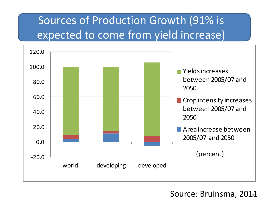#### Sources of Production Growth (91% is expected to come from yield increase)



Source: Bruinsma, 2011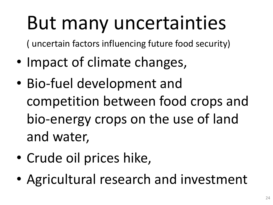# But many uncertainties

( uncertain factors influencing future food security)

- Impact of climate changes,
- Bio-fuel development and competition between food crops and bio-energy crops on the use of land and water,
- Crude oil prices hike,
- Agricultural research and investment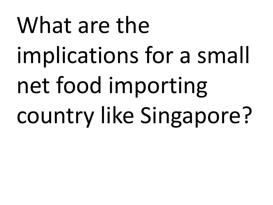# What are the implications for a small net food importing country like Singapore?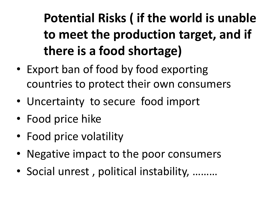**Potential Risks ( if the world is unable to meet the production target, and if there is a food shortage)** 

- Export ban of food by food exporting countries to protect their own consumers
- Uncertainty to secure food import
- Food price hike
- Food price volatility
- Negative impact to the poor consumers
- Social unrest , political instability, ………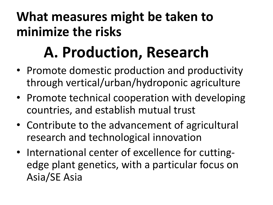#### **What measures might be taken to minimize the risks**

# **A. Production, Research**

- Promote domestic production and productivity through vertical/urban/hydroponic agriculture
- Promote technical cooperation with developing countries, and establish mutual trust
- Contribute to the advancement of agricultural research and technological innovation
- International center of excellence for cuttingedge plant genetics, with a particular focus on Asia/SE Asia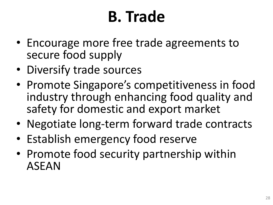# **B. Trade**

- Encourage more free trade agreements to secure food supply
- Diversify trade sources
- Promote Singapore's competitiveness in food industry through enhancing food quality and safety for domestic and export market
- Negotiate long-term forward trade contracts
- Establish emergency food reserve
- Promote food security partnership within ASEAN